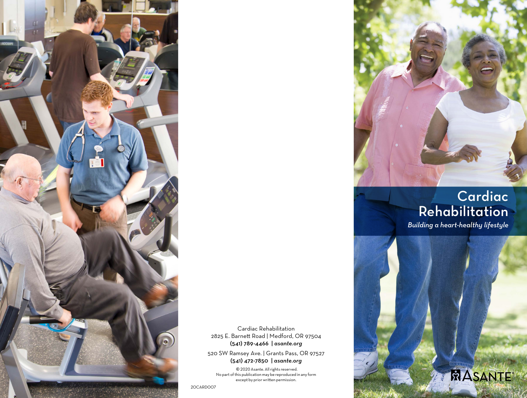

Cardiac Rehabilitation 2825 E. Barnett Road | Medford, OR 97504 (541) 789-4466 | *asante.org*

520 SW Ramsey Ave. | Grants Pass, OR 97527 (541) 472-7850 | *asante.org*

© 2020 Asante. All rights reserved. No part of this publication may be reproduced in any form except by prior written permission.

# **Cardiac Rehabilitation**

*Building a heart-healthy lifestyle*